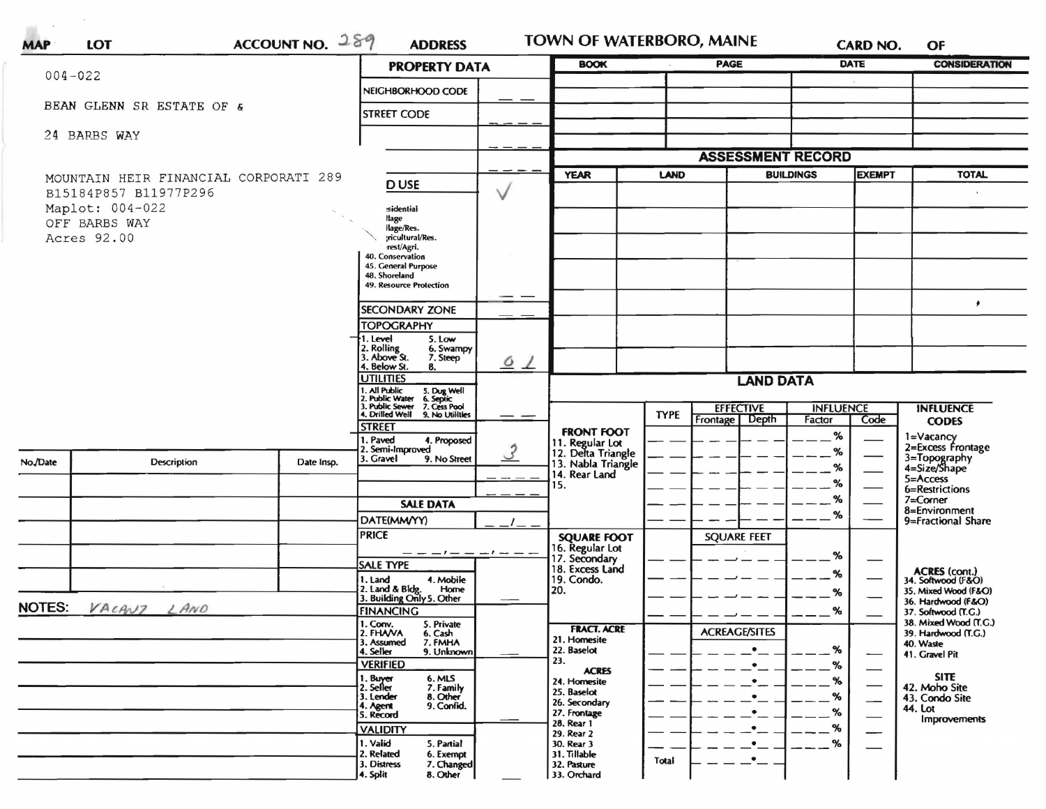|               |                                       |                                                   | <b>PROPERTY DATA</b>                                                                                                 |                            | <b>BOOK</b>                                         |                          | <b>PAGE</b>          |                  | DATE                                                       | <b>CONSIDERATION</b>                         |
|---------------|---------------------------------------|---------------------------------------------------|----------------------------------------------------------------------------------------------------------------------|----------------------------|-----------------------------------------------------|--------------------------|----------------------|------------------|------------------------------------------------------------|----------------------------------------------|
| $004 - 022$   |                                       |                                                   | NEIGHBORHOOD CODE                                                                                                    |                            |                                                     |                          |                      |                  |                                                            |                                              |
|               | BEAN GLENN SR ESTATE OF &             |                                                   | <b>STREET CODE</b>                                                                                                   |                            |                                                     |                          |                      |                  |                                                            |                                              |
| 24 BARBS WAY  |                                       |                                                   |                                                                                                                      |                            |                                                     |                          |                      |                  |                                                            |                                              |
|               |                                       |                                                   |                                                                                                                      |                            |                                                     | <b>ASSESSMENT RECORD</b> |                      |                  |                                                            |                                              |
|               | MOUNTAIN HEIR FINANCIAL CORPORATI 289 |                                                   |                                                                                                                      | <b>YEAR</b><br><b>LAND</b> |                                                     |                          | <b>BUILDINGS</b>     |                  | <b>TOTAL</b>                                               |                                              |
|               | B15184P857 B11977P296                 | <b>DUSE</b>                                       | ν                                                                                                                    |                            |                                                     |                          |                      |                  |                                                            |                                              |
|               | Maplot: 004-022                       |                                                   | sidential<br>llage                                                                                                   |                            |                                                     |                          |                      |                  |                                                            |                                              |
| Acres 92.00   | OFF BARBS WAY                         |                                                   | llage/Res.<br>:ricultural/Res.                                                                                       |                            |                                                     |                          |                      |                  |                                                            |                                              |
|               |                                       |                                                   | rest/Agri.<br>40. Conservation                                                                                       |                            |                                                     |                          |                      |                  |                                                            |                                              |
|               |                                       |                                                   | 45. General Purpose<br>48. Shoreland                                                                                 |                            |                                                     |                          |                      |                  |                                                            |                                              |
|               |                                       |                                                   | 49. Resource Protection                                                                                              |                            |                                                     |                          |                      |                  |                                                            |                                              |
|               |                                       |                                                   | <b>SECONDARY ZONE</b>                                                                                                |                            |                                                     |                          |                      |                  |                                                            | ٠                                            |
|               |                                       |                                                   | <b>TOPOGRAPHY</b>                                                                                                    |                            |                                                     |                          |                      |                  |                                                            |                                              |
|               |                                       |                                                   | 1. Level<br>5. Low<br>2. Rolling<br>3. Above St.<br>6. Swampy<br>7. Steep                                            |                            |                                                     |                          |                      |                  |                                                            |                                              |
|               |                                       |                                                   | 4. Below St.<br>8.<br><b>UTILITIES</b>                                                                               | 6/                         |                                                     |                          |                      |                  |                                                            |                                              |
|               |                                       |                                                   | 1. All Public                                                                                                        | <b>LAND DATA</b>           |                                                     |                          |                      |                  |                                                            |                                              |
|               |                                       |                                                   | 5. Dug Well<br>6. Septic<br>7. Cess Pool<br>2. Public Water<br>3. Public Sewer<br>4. Drilled Well<br>9. No Utilities |                            |                                                     | <b>TYPE</b>              | <b>EFFECTIVE</b>     | <b>INFLUENCE</b> |                                                            | <b>INFLUENCE</b>                             |
|               |                                       |                                                   | <b>STREET</b>                                                                                                        |                            | <b>FRONT FOOT</b>                                   |                          | Frontage   Depth     | Factor<br>$\%$   | Code                                                       | <b>CODES</b>                                 |
|               |                                       |                                                   | 1. Paved<br>4. Proposed<br>2. Semi-Improved                                                                          |                            | 11. Regular Lot<br>12. Delta Triangle               |                          |                      | ℅                |                                                            | 1=Vacancy<br>2=Excess Frontage               |
| No./Date      | <b>Description</b>                    | Date Insp.                                        | 3. Gravel<br>9. No Street                                                                                            |                            | 13. Nabla Triangle<br>14. Rear Land                 |                          |                      | ℅                |                                                            | 3=Topography<br>4=Size/Shape                 |
|               |                                       |                                                   |                                                                                                                      |                            | 15.                                                 |                          |                      | ℅                |                                                            | 5=Access<br>6=Restrictions                   |
|               |                                       |                                                   | <b>SALE DATA</b>                                                                                                     |                            |                                                     |                          |                      | %                |                                                            | 7=Corner<br>8=Environment                    |
|               |                                       |                                                   | DATE(MM/YY)                                                                                                          |                            |                                                     |                          |                      | $\%$             |                                                            | 9=Fractional Share                           |
|               |                                       |                                                   | <b>PRICE</b>                                                                                                         |                            | <b>SQUARE FOOT</b>                                  |                          | <b>SQUARE FEET</b>   |                  |                                                            |                                              |
|               |                                       |                                                   | <b>SALE TYPE</b>                                                                                                     | $-1$ $ -1$ $  -$           | 16. Regular Lot<br>17. Secondary<br>18. Excess Land |                          |                      | %                |                                                            |                                              |
|               |                                       |                                                   | 4. Mobile<br>1. Land<br>2. Land & Bldg.<br>Home                                                                      |                            | 19. Condo.                                          |                          |                      | %                |                                                            | ACRES (cont.)<br>34. Softwood (F&O)          |
| <b>NOTES:</b> |                                       | 3. Building Only 5. Other                         |                                                                                                                      | 20.                        |                                                     |                          | %                    |                  | 35. Mixed Wood (F&O)<br>36. Hardwood (F&O)                 |                                              |
| VACANZ LAND   |                                       |                                                   | <b>FINANCING</b><br>1. Conv.<br>5. Private                                                                           |                            |                                                     |                          |                      | %                |                                                            | 37. Softwood (T.G.)<br>38. Mixed Wood (T.G.) |
|               |                                       |                                                   | 2. FHAVA<br>6. Cash<br>7. FMHA<br>3. Assumed                                                                         |                            | <b>FRACT. ACRE</b><br>21. Homesite                  |                          | <b>ACREAGE/SITES</b> |                  |                                                            | 39. Hardwood (T.G.)<br>40. Waste             |
|               |                                       |                                                   | 4. Seller<br>9. Unknown<br><b>VERIFIED</b>                                                                           |                            | 22. Baselot<br>23.                                  |                          |                      | %                |                                                            | 41. Gravel Pit                               |
|               |                                       |                                                   | 1. Buy <del>er</del><br>2. Seller<br>6. MLS                                                                          |                            | <b>ACRES</b><br>24. Homesite                        |                          |                      | %                |                                                            | <b>SITE</b>                                  |
|               |                                       |                                                   | 7. Family<br>8. Other<br>3. Lender                                                                                   |                            | 25. Baselot<br>26. Secondary                        |                          |                      | %                | $\overline{\phantom{0}}$<br>$\overbrace{\hspace{25mm}}^{}$ | 42. Moho Site<br>43. Condo Site              |
|               |                                       |                                                   | 9. Confid.<br>4. Agent<br>5. Record                                                                                  |                            | 27. Frontage                                        |                          |                      | %                | $\overline{\phantom{0}}$                                   | 44. Lot<br>Improvements                      |
|               |                                       |                                                   | <b>VALIDITY</b>                                                                                                      |                            | 28. Rear 1<br>29. Rear 2                            |                          |                      | %                | —                                                          |                                              |
|               |                                       | 1. Valid<br>5. Partial<br>2. Related<br>6. Exempt |                                                                                                                      | 30. Rear 3<br>31. Tillable |                                                     |                          | %                    |                  |                                                            |                                              |
|               |                                       | 3. Distress<br>7. Changed<br>8. Other<br>4. Split |                                                                                                                      | 32. Pasture<br>33. Orchard | Total                                               |                          |                      |                  |                                                            |                                              |